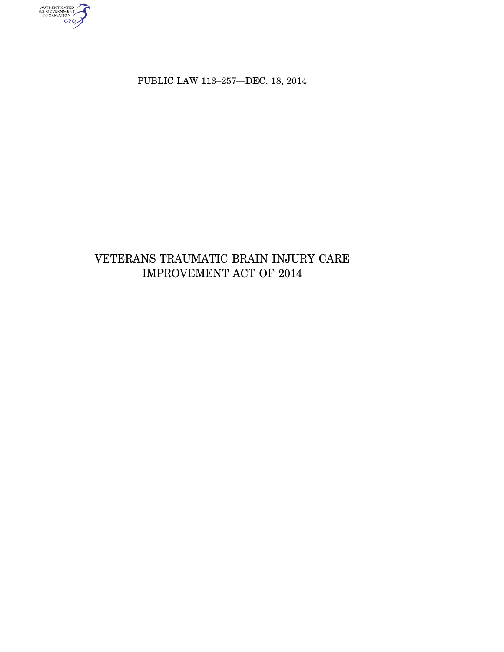AUTHENTICATED<br>U.S. GOVERNMENT<br>INFORMATION

PUBLIC LAW 113-257-DEC. 18, 2014

# VETERANS TRAUMATIC BRAIN INJURY CARE IMPROVEMENT ACT OF  $2014\,$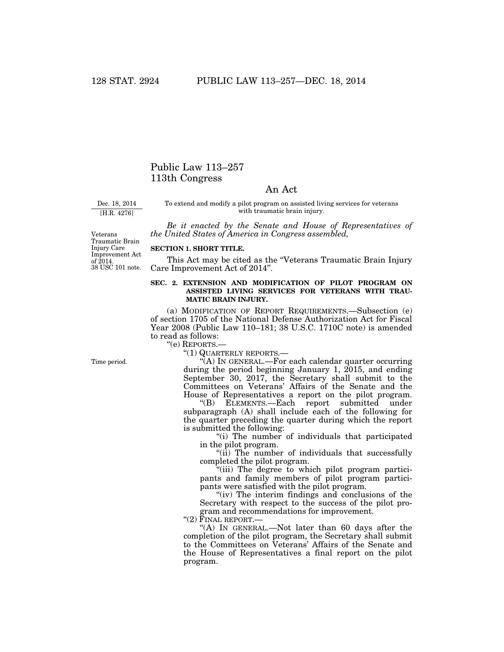## Public Law 113–257 113th Congress

## An Act

Dec. 18, 2014 [H.R. 4276]

To extend and modify a pilot program on assisted living services for veterans with traumatic brain injury.

*Be it enacted by the Senate and House of Representatives of the United States of America in Congress assembled,* 

38 USC 101 note. Veterans Traumatic Brain Injury Care Improvement Act of 2014.

### **SECTION 1. SHORT TITLE.**

This Act may be cited as the "Veterans Traumatic Brain Injury Care Improvement Act of 2014''.

### **SEC. 2. EXTENSION AND MODIFICATION OF PILOT PROGRAM ON ASSISTED LIVING SERVICES FOR VETERANS WITH TRAU-MATIC BRAIN INJURY.**

(a) MODIFICATION OF REPORT REQUIREMENTS.—Subsection (e) of section 1705 of the National Defense Authorization Act for Fiscal Year 2008 (Public Law 110–181; 38 U.S.C. 1710C note) is amended to read as follows:

''(e) REPORTS.—

''(1) QUARTERLY REPORTS.—

''(A) IN GENERAL.—For each calendar quarter occurring during the period beginning January 1, 2015, and ending September 30, 2017, the Secretary shall submit to the Committees on Veterans' Affairs of the Senate and the House of Representatives a report on the pilot program.

''(B) ELEMENTS.—Each report submitted under subparagraph (A) shall include each of the following for the quarter preceding the quarter during which the report is submitted the following:

''(i) The number of individuals that participated in the pilot program.

" $(i)$  The number of individuals that successfully completed the pilot program.

''(iii) The degree to which pilot program participants and family members of pilot program participants were satisfied with the pilot program.

"(iv) The interim findings and conclusions of the Secretary with respect to the success of the pilot program and recommendations for improvement.

 $"$ (2) FINAL REPORT.

''(A) IN GENERAL.—Not later than 60 days after the completion of the pilot program, the Secretary shall submit to the Committees on Veterans' Affairs of the Senate and the House of Representatives a final report on the pilot program.

Time period.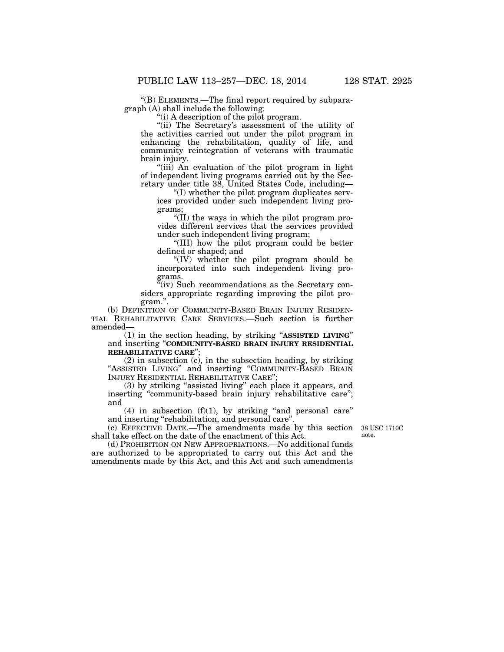''(B) ELEMENTS.—The final report required by subparagraph (A) shall include the following:

 $(i)$  A description of the pilot program.

"(ii) The Secretary's assessment of the utility of the activities carried out under the pilot program in enhancing the rehabilitation, quality of life, and community reintegration of veterans with traumatic brain injury.

''(iii) An evaluation of the pilot program in light of independent living programs carried out by the Secretary under title 38, United States Code, including—

''(I) whether the pilot program duplicates services provided under such independent living programs;

''(II) the ways in which the pilot program provides different services that the services provided under such independent living program;

''(III) how the pilot program could be better defined or shaped; and

''(IV) whether the pilot program should be incorporated into such independent living programs.

 $\tilde{f}(iv)$  Such recommendations as the Secretary considers appropriate regarding improving the pilot program.''.

(b) DEFINITION OF COMMUNITY-BASED BRAIN INJURY RESIDEN-TIAL REHABILITATIVE CARE SERVICES.—Such section is further amended—

(1) in the section heading, by striking ''**ASSISTED LIVING**'' and inserting ''**COMMUNITY-BASED BRAIN INJURY RESIDENTIAL REHABILITATIVE CARE**'';

(2) in subsection (c), in the subsection heading, by striking "ASSISTED LIVING" and inserting "COMMUNITY-BASED BRAIN INJURY RESIDENTIAL REHABILITATIVE CARE'';

(3) by striking ''assisted living'' each place it appears, and inserting "community-based brain injury rehabilitative care"; and

(4) in subsection  $(f)(1)$ , by striking "and personal care" and inserting "rehabilitation, and personal care"

(c) EFFECTIVE DATE.—The amendments made by this section shall take effect on the date of the enactment of this Act.

38 USC 1710C note.

(d) PROHIBITION ON NEW APPROPRIATIONS.—No additional funds are authorized to be appropriated to carry out this Act and the amendments made by this Act, and this Act and such amendments